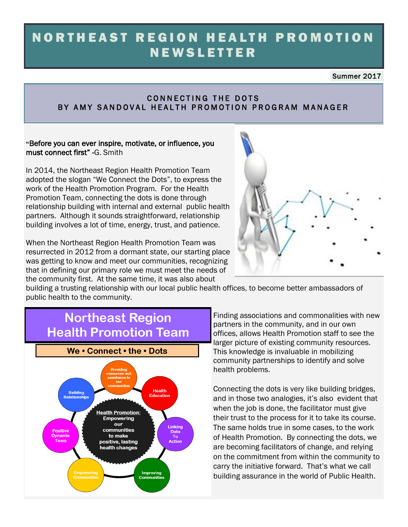# NORTHEAST REGION HEALTH PROMOTION **NEWSLETTER**

Summer 2017

### CONNECTING THE DOTS BY AMY SANDOVAL HEALTH PROMOTION PROGRAM MANAGER

### **"**Before you can ever inspire, motivate, or influence, you must connect first" -G. Smith

In 2014, the Northeast Region Health Promotion Team adopted the slogan "We Connect the Dots", to express the work of the Health Promotion Program. For the Health Promotion Team, connecting the dots is done through relationship building with internal and external public health partners. Although it sounds straightforward, relationship building involves a lot of time, energy, trust, and patience.

When the Northeast Region Health Promotion Team was resurrected in 2012 from a dormant state, our starting place was getting to know and meet our communities, recognizing that in defining our primary role we must meet the needs of the community first. At the same time, it was also about



building a trusting relationship with our local public health offices, to become better ambassadors of public health to the community.

# **Northeast Region Health Promotion Team**



Finding associations and commonalities with new partners in the community, and in our own offices, allows Health Promotion staff to see the larger picture of existing community resources. This knowledge is invaluable in mobilizing community partnerships to identify and solve health problems.

Connecting the dots is very like building bridges, and in those two analogies, it's also evident that when the job is done, the facilitator must give their trust to the process for it to take its course. The same holds true in some cases, to the work of Health Promotion. By connecting the dots, we are becoming facilitators of change, and relying on the commitment from within the community to carry the initiative forward. That's what we call building assurance in the world of Public Health.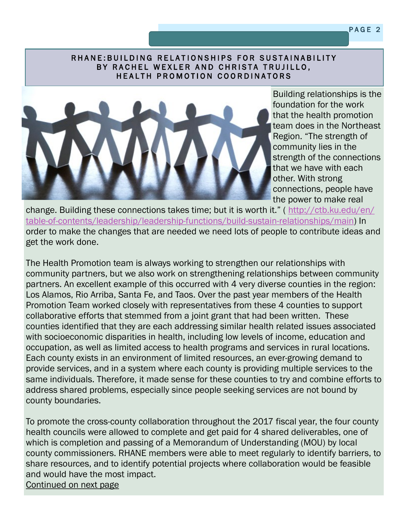### RHANE: BUILDING RELATIONSHIPS FOR SUSTAINABILITY BY RACHEL WEXLER AND CHRISTA TRUJILLO, HEALTH PROMOTION COORDINATORS



Building relationships is the foundation for the work that the health promotion team does in the Northeast Region. "The strength of community lies in the strength of the connections that we have with each other. With strong connections, people have the power to make real

change. Building these connections takes time; but it is worth it." ( [http://ctb.ku.edu/en/](http://ctb.ku.edu/en/table-of-contents/leadership/leadership-functions/build-sustain-relationships/main) [table-of-contents/leadership/leadership-functions/build-sustain-relationships/main\)](http://ctb.ku.edu/en/table-of-contents/leadership/leadership-functions/build-sustain-relationships/main) In order to make the changes that are needed we need lots of people to contribute ideas and get the work done.

The Health Promotion team is always working to strengthen our relationships with community partners, but we also work on strengthening relationships between community partners. An excellent example of this occurred with 4 very diverse counties in the region: Los Alamos, Rio Arriba, Santa Fe, and Taos. Over the past year members of the Health Promotion Team worked closely with representatives from these 4 counties to support collaborative efforts that stemmed from a joint grant that had been written. These counties identified that they are each addressing similar health related issues associated with socioeconomic disparities in health, including low levels of income, education and occupation, as well as limited access to health programs and services in rural locations. Each county exists in an environment of limited resources, an ever-growing demand to provide services, and in a system where each county is providing multiple services to the same individuals. Therefore, it made sense for these counties to try and combine efforts to address shared problems, especially since people seeking services are not bound by county boundaries.

To promote the cross-county collaboration throughout the 2017 fiscal year, the four county health councils were allowed to complete and get paid for 4 shared deliverables, one of which is completion and passing of a Memorandum of Understanding (MOU) by local county commissioners. RHANE members were able to meet regularly to identify barriers, to share resources, and to identify potential projects where collaboration would be feasible and would have the most impact. Continued on next page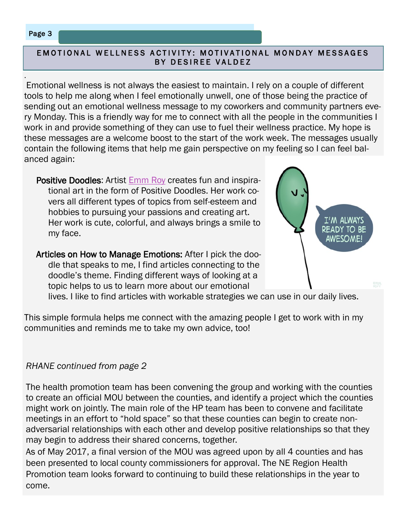## Page 3

.

### EMOTIONAL WELLNESS ACTIVITY: MOTIVATIONAL MONDAY MESSAGES BY DESIREE VALDEZ

Emotional wellness is not always the easiest to maintain. I rely on a couple of different tools to help me along when I feel emotionally unwell, one of those being the practice of sending out an emotional wellness message to my coworkers and community partners every Monday. This is a friendly way for me to connect with all the people in the communities I work in and provide something of they can use to fuel their wellness practice. My hope is these messages are a welcome boost to the start of the work week. The messages usually contain the following items that help me gain perspective on my feeling so I can feel balanced again:

Positive Doodles: Artist [Emm Roy](http://positivedoodles.tumblr.com/) creates fun and inspirational art in the form of Positive Doodles. Her work covers all different types of topics from self-esteem and hobbies to pursuing your passions and creating art. Her work is cute, colorful, and always brings a smile to my face.

Articles on How to Manage Emotions: After I pick the doodle that speaks to me, I find articles connecting to the doodle's theme. Finding different ways of looking at a topic helps to us to learn more about our emotional



lives. I like to find articles with workable strategies we can use in our daily lives.

This simple formula helps me connect with the amazing people I get to work with in my communities and reminds me to take my own advice, too!

## *RHANE continued from page 2*

The health promotion team has been convening the group and working with the counties to create an official MOU between the counties, and identify a project which the counties might work on jointly. The main role of the HP team has been to convene and facilitate meetings in an effort to "hold space" so that these counties can begin to create nonadversarial relationships with each other and develop positive relationships so that they may begin to address their shared concerns, together.

As of May 2017, a final version of the MOU was agreed upon by all 4 counties and has been presented to local county commissioners for approval. The NE Region Health Promotion team looks forward to continuing to build these relationships in the year to come.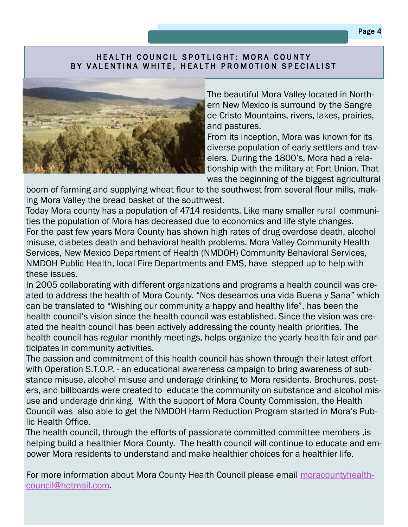### HEALTH COUNCIL SPOTLIGHT: MORA COUNTY BY VALENTINA WHITE, HEALTH PROMOTION SPECIALIST



The beautiful Mora Valley located in Northern New Mexico is surround by the Sangre de Cristo Mountains, rivers, lakes, prairies, and pastures.

From its inception, Mora was known for its diverse population of early settlers and travelers. During the 1800's, Mora had a relationship with the military at Fort Union. That was the beginning of the biggest agricultural

boom of farming and supplying wheat flour to the southwest from several flour mills, making Mora Valley the bread basket of the southwest.

Today Mora county has a population of 4714 residents. Like many smaller rural communities the population of Mora has decreased due to economics and life style changes. For the past few years Mora County has shown high rates of drug overdose death, alcohol misuse, diabetes death and behavioral health problems. Mora Valley Community Health Services, New Mexico Department of Health (NMDOH) Community Behavioral Services, NMDOH Public Health, local Fire Departments and EMS, have stepped up to help with these issues.

In 2005 collaborating with different organizations and programs a health council was created to address the health of Mora County. "Nos deseamos una vida Buena y Sana" which can be translated to "Wishing our community a happy and healthy life", has been the health council's vision since the health council was established. Since the vision was created the health council has been actively addressing the county health priorities. The health council has regular monthly meetings, helps organize the yearly health fair and participates in community activities.

The passion and commitment of this health council has shown through their latest effort with Operation S.T.O.P. - an educational awareness campaign to bring awareness of substance misuse, alcohol misuse and underage drinking to Mora residents. Brochures, posters, and billboards were created to educate the community on substance and alcohol misuse and underage drinking. With the support of Mora County Commission, the Health Council was also able to get the NMDOH Harm Reduction Program started in Mora's Public Health Office.

The health council, through the efforts of passionate committed committee members ,is helping build a healthier Mora County. The health council will continue to educate and empower Mora residents to understand and make healthier choices for a healthier life.

For more information about Mora County Health Council please email [moracountyhealth](mailto:moracountyhealthcouncil@hotmail.com)[council@hotmail.com.](mailto:moracountyhealthcouncil@hotmail.com)